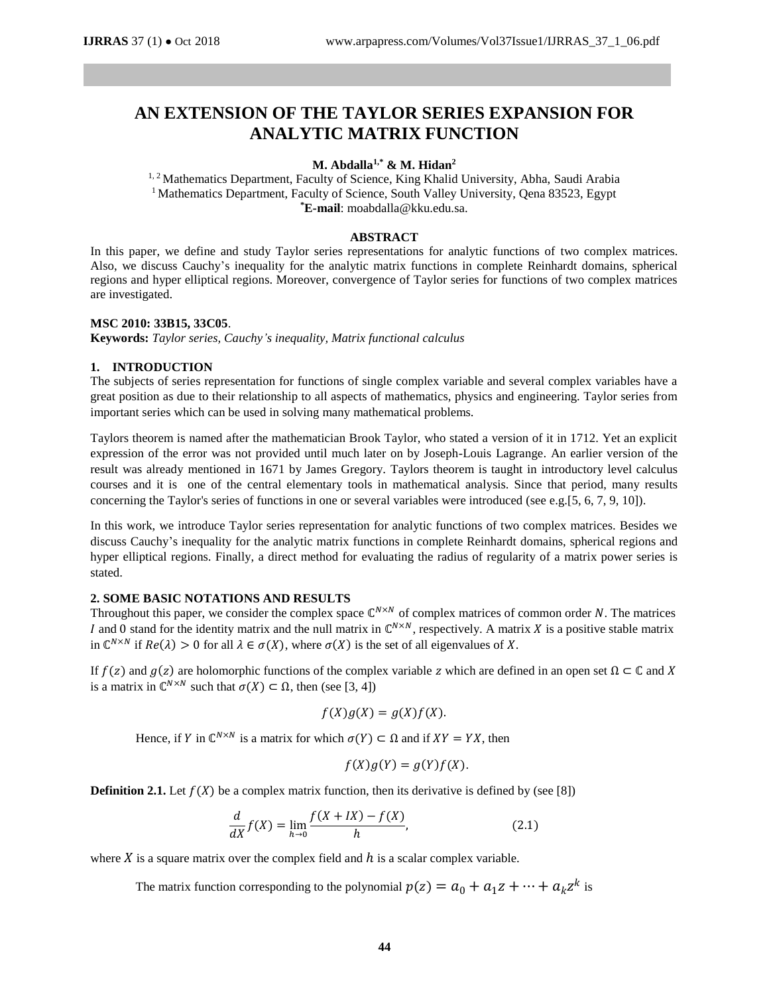# **AN EXTENSION OF THE TAYLOR SERIES EXPANSION FOR ANALYTIC MATRIX FUNCTION**

## **M. Abdalla1,\* & M. Hidan<sup>2</sup>**

<sup>1, 2</sup> Mathematics Department, Faculty of Science, King Khalid University, Abha, Saudi Arabia <sup>1</sup> Mathematics Department, Faculty of Science, South Valley University, Qena 83523, Egypt **\*E-mail**: moabdalla@kku.edu.sa.

#### **ABSTRACT**

In this paper, we define and study Taylor series representations for analytic functions of two complex matrices. Also, we discuss Cauchy's inequality for the analytic matrix functions in complete Reinhardt domains, spherical regions and hyper elliptical regions. Moreover, convergence of Taylor series for functions of two complex matrices are investigated.

#### **MSC 2010: 33B15, 33C05**.

**Keywords:** *Taylor series, Cauchy's inequality, Matrix functional calculus*

# **1. INTRODUCTION**

The subjects of series representation for functions of single complex variable and several complex variables have a great position as due to their relationship to all aspects of mathematics, physics and engineering. Taylor series from important series which can be used in solving many mathematical problems.

Taylors theorem is named after the mathematician Brook Taylor, who stated a version of it in 1712. Yet an explicit expression of the error was not provided until much later on by Joseph-Louis Lagrange. An earlier version of the result was already mentioned in 1671 by James Gregory. Taylors theorem is taught in introductory level calculus courses and it is one of the central elementary tools in mathematical analysis. Since that period, many results concerning the Taylor's series of functions in one or several variables were introduced (see e.g.[5, 6, 7, 9, 10]).

In this work, we introduce Taylor series representation for analytic functions of two complex matrices. Besides we discuss Cauchy's inequality for the analytic matrix functions in complete Reinhardt domains, spherical regions and hyper elliptical regions. Finally, a direct method for evaluating the radius of regularity of a matrix power series is stated.

## **2. SOME BASIC NOTATIONS AND RESULTS**

Throughout this paper, we consider the complex space  $\mathbb{C}^{N \times N}$  of complex matrices of common order N. The matrices *I* and 0 stand for the identity matrix and the null matrix in  $\mathbb{C}^{N \times N}$ , respectively. A matrix *X* is a positive stable matrix in  $\mathbb{C}^{N\times N}$  if  $Re(\lambda) > 0$  for all  $\lambda \in \sigma(X)$ , where  $\sigma(X)$  is the set of all eigenvalues of X.

If  $f(z)$  and  $g(z)$  are holomorphic functions of the complex variable z which are defined in an open set  $\Omega \subset \mathbb{C}$  and X is a matrix in  $\mathbb{C}^{N \times N}$  such that  $\sigma(X) \subset \Omega$ , then (see [3, 4])

$$
f(X)g(X) = g(X)f(X).
$$

Hence, if Y in  $\mathbb{C}^{N \times N}$  is a matrix for which  $\sigma(Y) \subset \Omega$  and if  $XY = YX$ , then

$$
f(X)g(Y) = g(Y)f(X).
$$

**Definition 2.1.** Let  $f(X)$  be a complex matrix function, then its derivative is defined by (see [8])

$$
\frac{d}{dX}f(X) = \lim_{h \to 0} \frac{f(X + IX) - f(X)}{h},
$$
\n(2.1)

where X is a square matrix over the complex field and  $h$  is a scalar complex variable.

The matrix function corresponding to the polynomial  $p(z) = a_0 + a_1 z + \cdots + a_k z^k$  is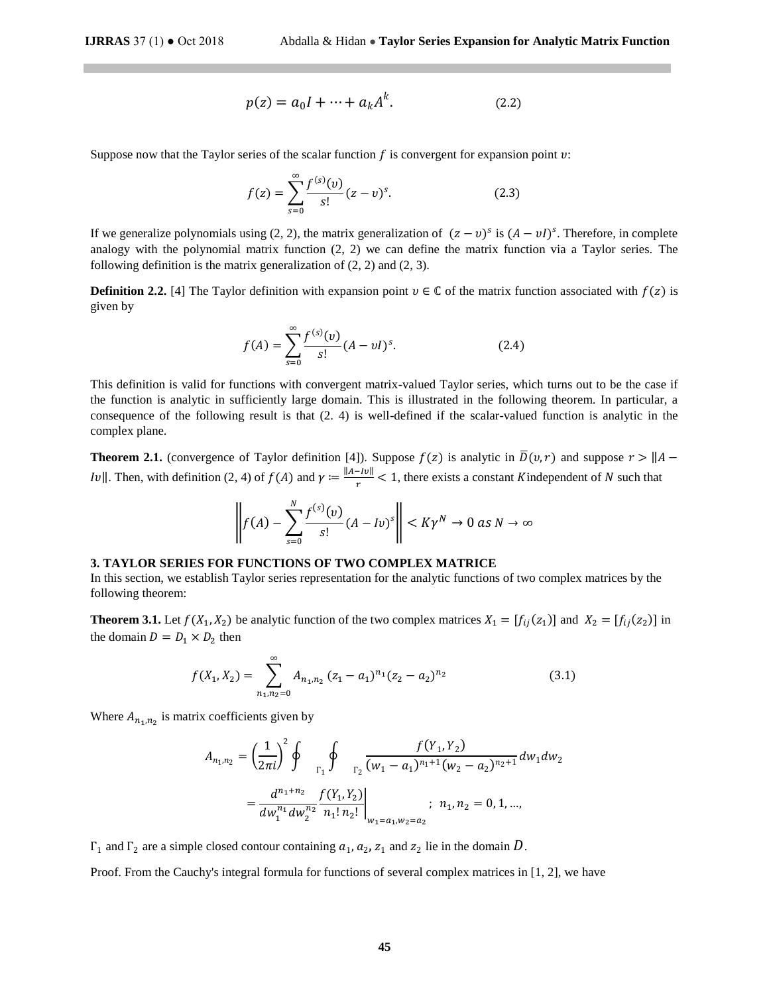$$
p(z) = a_0 I + \dots + a_k A^k.
$$
 (2.2)

Suppose now that the Taylor series of the scalar function  $f$  is convergent for expansion point  $v$ :

$$
f(z) = \sum_{s=0}^{\infty} \frac{f^{(s)}(v)}{s!} (z - v)^s.
$$
 (2.3)

If we generalize polynomials using (2, 2), the matrix generalization of  $(z - v)^s$  is  $(A - vI)^s$ . Therefore, in complete analogy with the polynomial matrix function (2, 2) we can define the matrix function via a Taylor series. The following definition is the matrix generalization of (2, 2) and (2, 3).

**Definition 2.2.** [4] The Taylor definition with expansion point  $v \in \mathbb{C}$  of the matrix function associated with  $f(z)$  is given by

$$
f(A) = \sum_{s=0}^{\infty} \frac{f^{(s)}(v)}{s!} (A - vI)^s.
$$
 (2.4)

This definition is valid for functions with convergent matrix-valued Taylor series, which turns out to be the case if the function is analytic in sufficiently large domain. This is illustrated in the following theorem. In particular, a consequence of the following result is that (2. 4) is well-defined if the scalar-valued function is analytic in the complex plane.

**Theorem 2.1.** (convergence of Taylor definition [4]). Suppose  $f(z)$  is analytic in  $\overline{D}(v, r)$  and suppose  $r > ||A -$ Iv||. Then, with definition (2, 4) of  $f(A)$  and  $\gamma := \frac{\|A - Iv\|}{\sigma}$  $\frac{270}{r}$  < 1, there exists a constant Kindependent of N such that

$$
\left\| f(A) - \sum_{s=0}^{N} \frac{f^{(s)}(v)}{s!} (A - Iv)^s \right\| < K\gamma^N \to 0 \text{ as } N \to \infty
$$

#### **3. TAYLOR SERIES FOR FUNCTIONS OF TWO COMPLEX MATRICE**

In this section, we establish Taylor series representation for the analytic functions of two complex matrices by the following theorem:

**Theorem 3.1.** Let  $f(X_1, X_2)$  be analytic function of the two complex matrices  $X_1 = [f_{ij}(z_1)]$  and  $X_2 = [f_{ij}(z_2)]$  in the domain  $D = D_1 \times D_2$  then

$$
f(X_1, X_2) = \sum_{n_1, n_2=0}^{\infty} A_{n_1, n_2} (z_1 - a_1)^{n_1} (z_2 - a_2)^{n_2}
$$
 (3.1)

Where  $A_{n_1,n_2}$  is matrix coefficients given by

$$
A_{n_1,n_2} = \left(\frac{1}{2\pi i}\right)^2 \oint_{\Gamma_1} \oint_{\Gamma_2} \frac{f(Y_1, Y_2)}{(w_1 - a_1)^{n_1+1}(w_2 - a_2)^{n_2+1}} dw_1 dw_2
$$
  
= 
$$
\frac{d^{n_1+n_2}}{dw_1^{n_1} dw_2^{n_2}} \frac{f(Y_1, Y_2)}{n_1! n_2!} \bigg|_{w_1 = a_1, w_2 = a_2}; n_1, n_2 = 0, 1, ...,
$$

 $Γ_1$  and  $Γ_2$  are a simple closed contour containing  $a_1$ ,  $a_2$ ,  $z_1$  and  $z_2$  lie in the domain D.

Proof. From the Cauchy's integral formula for functions of several complex matrices in [1, 2], we have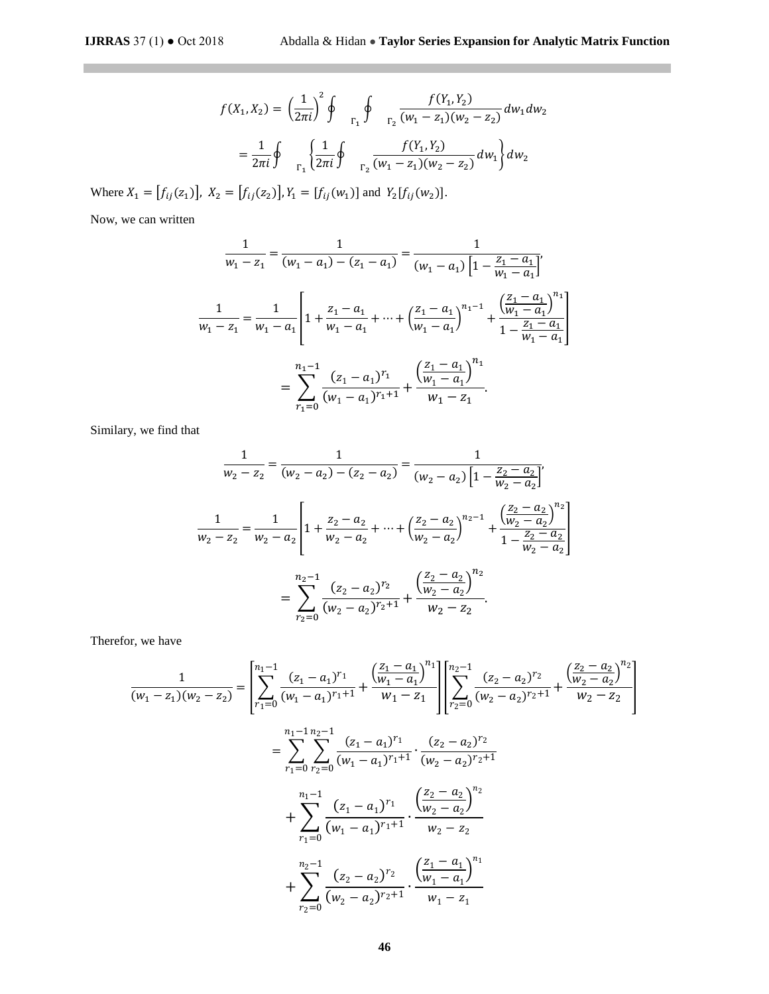$\mathcal{L}^{\text{max}}_{\text{max}}$  , where  $\mathcal{L}^{\text{max}}_{\text{max}}$ 

$$
f(X_1, X_2) = \left(\frac{1}{2\pi i}\right)^2 \oint_{\Gamma_1} \oint_{\Gamma_2} \frac{f(Y_1, Y_2)}{(w_1 - z_1)(w_2 - z_2)} dw_1 dw_2
$$
  
=  $\frac{1}{2\pi i} \oint_{\Gamma_1} \left\{ \frac{1}{2\pi i} \oint_{\Gamma_2} \frac{f(Y_1, Y_2)}{(w_1 - z_1)(w_2 - z_2)} dw_1 \right\} dw_2$ 

Where  $X_1 = [f_{ij}(z_1)], X_2 = [f_{ij}(z_2)], Y_1 = [f_{ij}(w_1)]$  and  $Y_2[f_{ij}(w_2)].$ 

Now, we can written

$$
\frac{1}{w_1 - z_1} = \frac{1}{(w_1 - a_1) - (z_1 - a_1)} = \frac{1}{(w_1 - a_1) \left[1 - \frac{z_1 - a_1}{w_1 - a_1}\right]},
$$
  

$$
\frac{1}{w_1 - z_1} = \frac{1}{w_1 - a_1} \left[1 + \frac{z_1 - a_1}{w_1 - a_1} + \dots + \left(\frac{z_1 - a_1}{w_1 - a_1}\right)^{n_1 - 1} + \frac{\left(\frac{z_1 - a_1}{w_1 - a_1}\right)^{n_1}}{1 - \frac{z_1 - a_1}{w_1 - a_1}}\right]
$$

$$
= \sum_{r_1 = 0}^{n_1 - 1} \frac{(z_1 - a_1)^{r_1}}{(w_1 - a_1)^{r_1 + 1}} + \frac{\left(\frac{z_1 - a_1}{w_1 - a_1}\right)^{n_1}}{w_1 - z_1}.
$$

Similary, we find that

$$
\frac{1}{w_2 - z_2} = \frac{1}{(w_2 - a_2) - (z_2 - a_2)} = \frac{1}{(w_2 - a_2) \left[1 - \frac{z_2 - a_2}{w_2 - a_2}\right]},
$$
  

$$
\frac{1}{w_2 - z_2} = \frac{1}{w_2 - a_2} \left[1 + \frac{z_2 - a_2}{w_2 - a_2} + \dots + \left(\frac{z_2 - a_2}{w_2 - a_2}\right)^{n_2 - 1} + \frac{\left(\frac{z_2 - a_2}{w_2 - a_2}\right)^{n_2}}{1 - \frac{z_2 - a_2}{w_2 - a_2}}\right]
$$

$$
= \sum_{r_2=0}^{n_2 - 1} \frac{(z_2 - a_2)^{r_2}}{(w_2 - a_2)^{r_2 + 1}} + \frac{\left(\frac{z_2 - a_2}{w_2 - a_2}\right)^{n_2}}{w_2 - z_2}.
$$

Therefor, we have

$$
\frac{1}{(w_1 - z_1)(w_2 - z_2)} = \left[ \sum_{r_1=0}^{n_1-1} \frac{(z_1 - a_1)^{r_1}}{(w_1 - a_1)^{r_1+1}} + \frac{\left(\frac{z_1 - a_1}{w_1 - a_1}\right)^{n_1}}{w_1 - z_1} \right] \left[ \sum_{r_2=0}^{n_2-1} \frac{(z_2 - a_2)^{r_2}}{(w_2 - a_2)^{r_2+1}} + \frac{\left(\frac{z_2 - a_2}{w_2 - a_2}\right)^{n_2}}{w_2 - z_2} \right]
$$
\n
$$
= \sum_{r_1=0}^{n_1-1} \sum_{r_2=0}^{n_2-1} \frac{(z_1 - a_1)^{r_1}}{(w_1 - a_1)^{r_1+1}} \cdot \frac{(z_2 - a_2)^{r_2}}{(w_2 - a_2)^{r_2+1}}
$$
\n
$$
+ \sum_{r_1=0}^{n_1-1} \frac{(z_1 - a_1)^{r_1}}{(w_1 - a_1)^{r_1+1}} \cdot \frac{\left(\frac{z_2 - a_2}{w_2 - a_2}\right)^{n_2}}{w_2 - z_2}
$$
\n
$$
+ \sum_{r_2=0}^{n_2-1} \frac{(z_2 - a_2)^{r_2}}{(w_2 - a_2)^{r_2+1}} \cdot \frac{\left(\frac{z_1 - a_1}{w_1 - a_1}\right)^{n_1}}{w_1 - z_1}
$$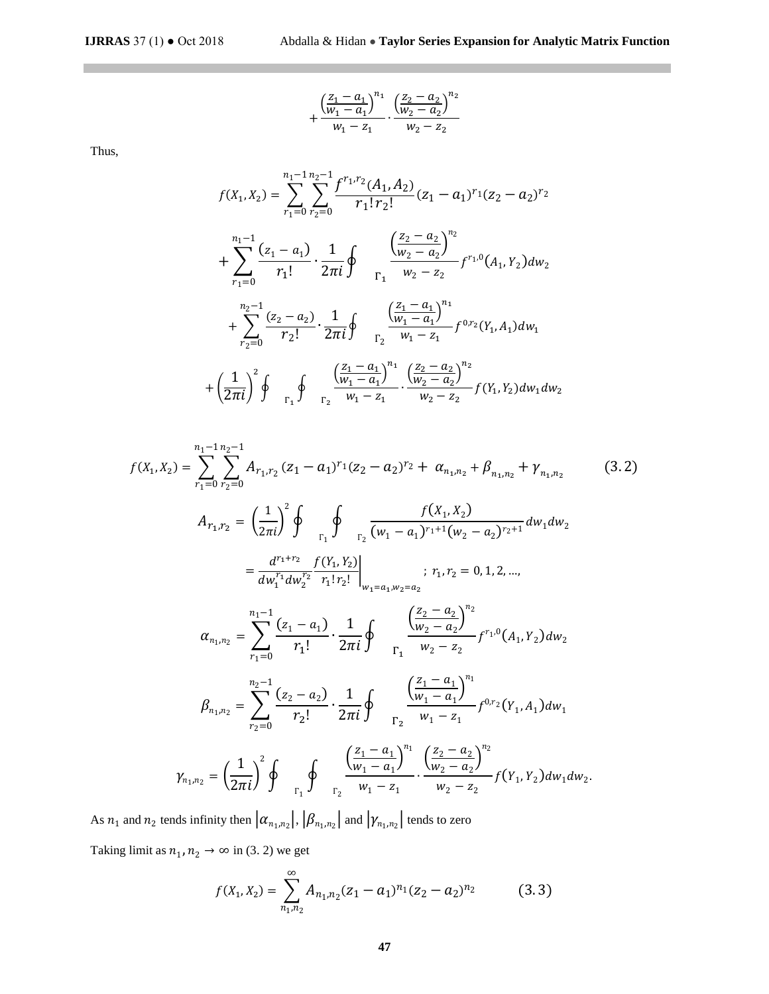$$
+\frac{\left(\frac{z_1-a_1}{w_1-a_1}\right)^{n_1}}{w_1-z_1}\cdot\frac{\left(\frac{z_2-a_2}{w_2-a_2}\right)^{n_2}}{w_2-z_2}
$$

Thus,

 $\mathbb{R}^n$ 

$$
f(X_1, X_2) = \sum_{r_1=0}^{n_1-1} \sum_{r_2=0}^{n_2-1} \frac{f^{r_1, r_2}(A_1, A_2)}{r_1! r_2!} (z_1 - a_1)^{r_1} (z_2 - a_2)^{r_2}
$$
  
+ 
$$
\sum_{r_1=0}^{n_1-1} \frac{(z_1 - a_1)}{r_1!} \cdot \frac{1}{2\pi i} \oint_{\Gamma_1} \frac{\left(\frac{z_2 - a_2}{w_2 - a_2}\right)^{n_2}}{\frac{w_2 - a_2}{w_2 - a_2}} f^{r_1, 0}(A_1, Y_2) dw_2
$$
  
+ 
$$
\sum_{r_2=0}^{n_2-1} \frac{(z_2 - a_2)}{r_2!} \cdot \frac{1}{2\pi i} \oint_{\Gamma_2} \frac{\left(\frac{z_1 - a_1}{w_1 - a_1}\right)^{n_1}}{\frac{w_1 - a_1}{w_1 - a_1}} f^{0, r_2}(Y_1, A_1) dw_1
$$
  
+ 
$$
\left(\frac{1}{2\pi i}\right)^2 \oint_{\Gamma_1} \oint_{\Gamma_2} \frac{\left(\frac{z_1 - a_1}{w_1 - a_1}\right)^{n_1}}{\frac{w_1 - a_1}{w_1 - a_1}} \cdot \frac{\left(\frac{z_2 - a_2}{w_2 - a_2}\right)^{n_2}}{\frac{w_2 - z_2}{w_2 - a_2}} f(Y_1, Y_2) dw_1 dw_2
$$

$$
f(X_1, X_2) = \sum_{r_1=0}^{n_1-1} \sum_{r_2=0}^{n_2-1} A_{r_1, r_2} (z_1 - a_1)^{r_1} (z_2 - a_2)^{r_2} + \alpha_{n_1, n_2} + \beta_{n_1, n_2} + \gamma_{n_1, n_2}
$$
(3.2)  

$$
A_{r_1, r_2} = \left(\frac{1}{2\pi i}\right)^2 \oint_{\Gamma_1} \oint_{\Gamma_2} \frac{f(X_1, X_2)}{(w_1 - a_1)^{r_1+1} (w_2 - a_2)^{r_2+1}} dw_1 dw_2
$$

$$
= \frac{d^{r_1+r_2}}{dw_1^{r_1} dw_2^{r_2}} \frac{f(Y_1, Y_2)}{r_1! r_2!} \bigg|_{w_1 = a_1, w_2 = a_2}; r_1, r_2 = 0, 1, 2, ...,
$$

$$
\alpha_{n_1, n_2} = \sum_{r_1=0}^{n_1-1} \frac{(z_1 - a_1)}{r_1!} \cdot \frac{1}{2\pi i} \oint_{\Gamma_1} \frac{\left(\frac{z_2 - a_2}{w_2 - a_2}\right)^{n_2}}{w_2 - z_2} f^{r_1, 0}(A_1, Y_2) dw_2
$$

$$
\beta_{n_1, n_2} = \sum_{r_2=0}^{n_2-1} \frac{(z_2 - a_2)}{r_2!} \cdot \frac{1}{2\pi i} \oint_{\Gamma_2} \frac{\left(\frac{z_1 - a_1}{w_1 - a_1}\right)^{n_1}}{w_1 - z_1} f^{0, r_2}(Y_1, A_1) dw_1
$$

$$
Y_{n_1, n_2} = \left(\frac{1}{2\pi i}\right)^2 \oint_{\Gamma_1} \oint_{\Gamma_2} \frac{\left(\frac{z_1 - a_1}{w_1 - a_1}\right)^{n_1}}{w_1 - z_1} \cdot \frac{\left(\frac{z_2 - a_2}{w_2 - a_2}\right)^{n_2}}{w_2 - z_2} f(Y_1, Y_2) dw_1 dw_2.
$$
(3.2)

As  $n_1$  and  $n_2$  tends infinity then  $|\alpha_{n_1,n_2}|, |\beta_{n_1,n_2}|$  and  $|\gamma_{n_1,n_2}|$  tends to zero

Taking limit as  $n_1$ ,  $n_2 \rightarrow \infty$  in (3. 2) we get

$$
f(X_1, X_2) = \sum_{n_1, n_2}^{\infty} A_{n_1, n_2} (z_1 - a_1)^{n_1} (z_2 - a_2)^{n_2}
$$
 (3.3)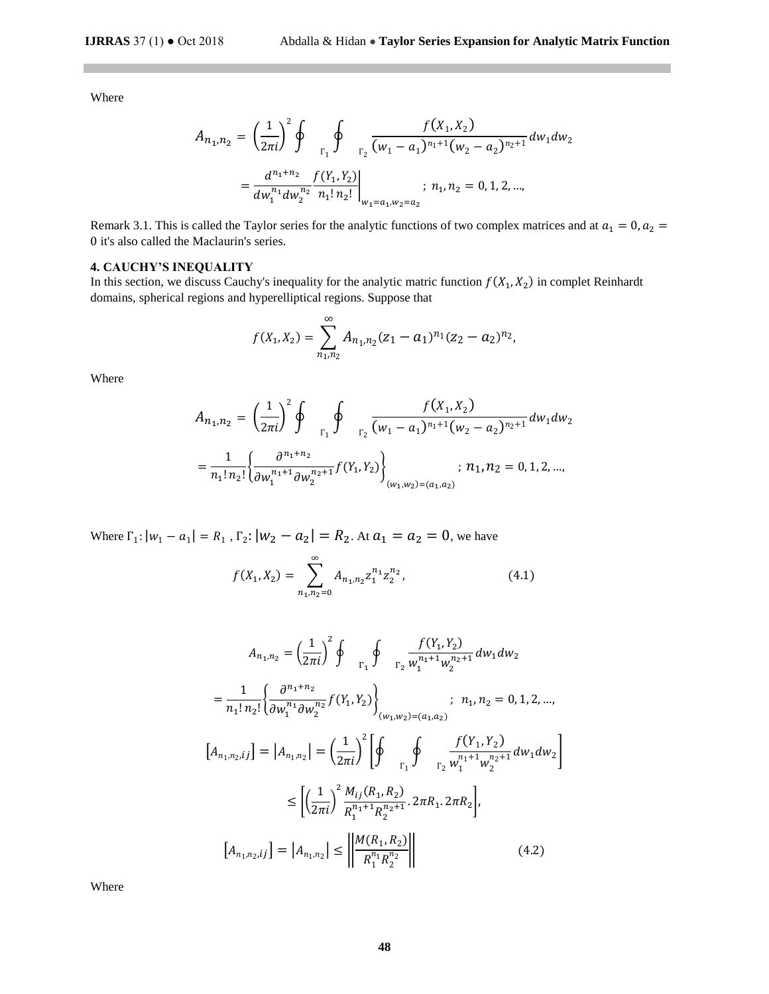Where

$$
A_{n_1,n_2} = \left(\frac{1}{2\pi i}\right)^2 \oint_{\Gamma_1} \oint_{\Gamma_2} \frac{f(X_1, X_2)}{(w_1 - a_1)^{n_1+1}(w_2 - a_2)^{n_2+1}} dw_1 dw_2
$$
  
= 
$$
\frac{d^{n_1+n_2}}{dw_1^{n_1}dw_2^{n_2}} \frac{f(Y_1, Y_2)}{n_1! n_2!} \Big|_{w_1 = a_1, w_2 = a_2}; n_1, n_2 = 0, 1, 2, ...,
$$

Remark 3.1. This is called the Taylor series for the analytic functions of two complex matrices and at  $a_1 = 0, a_2 =$ 0 it's also called the Maclaurin's series.

## **4. CAUCHY'S INEQUALITY**

In this section, we discuss Cauchy's inequality for the analytic matric function  $f(X_1, X_2)$  in complet Reinhardt domains, spherical regions and hyperelliptical regions. Suppose that

$$
f(X_1, X_2) = \sum_{n_1, n_2}^{\infty} A_{n_1, n_2} (z_1 - a_1)^{n_1} (z_2 - a_2)^{n_2},
$$

Where

$$
A_{n_1,n_2} = \left(\frac{1}{2\pi i}\right)^2 \oint_{\Gamma_1} \oint_{\Gamma_2} \frac{f(X_1, X_2)}{(w_1 - a_1)^{n_1+1}(w_2 - a_2)^{n_2+1}} dw_1 dw_2
$$
  
= 
$$
\frac{1}{n_1! n_2!} \left\{ \frac{\partial^{n_1+n_2}}{\partial w_1^{n_1+1} \partial w_2^{n_2+1}} f(Y_1, Y_2) \right\}_{(w_1, w_2) = (a_1, a_2)}; n_1, n_2 = 0, 1, 2, ...,
$$

Where  $\Gamma_1: |w_1 - a_1| = R_1$ ,  $\Gamma_2: |w_2 - a_2| = R_2$ . At  $a_1 = a_2 = 0$ , we have

$$
f(X_1, X_2) = \sum_{n_1, n_2=0}^{\infty} A_{n_1, n_2} z_1^{n_1} z_2^{n_2},
$$
 (4.1)

$$
A_{n_1,n_2} = \left(\frac{1}{2\pi i}\right)^2 \oint_{\Gamma_1} \oint_{\Gamma_2} \frac{f(Y_1, Y_2)}{w_1^{n_1+1} w_2^{n_2+1}} dw_1 dw_2
$$
  
\n
$$
= \frac{1}{n_1! n_2!} \left\{ \frac{\partial^{n_1+n_2}}{\partial w_1^{n_1} \partial w_2^{n_2}} f(Y_1, Y_2) \right\}_{(w_1, w_2) = (a_1, a_2)}
$$
  
\n
$$
[A_{n_1, n_2, ij}] = |A_{n_1, n_2}| = \left(\frac{1}{2\pi i}\right)^2 \left[ \oint_{\Gamma_1} \oint_{\Gamma_2} \frac{f(Y_1, Y_2)}{w_1^{n_1+1} w_2^{n_2+1}} dw_1 dw_2 \right]
$$
  
\n
$$
\leq \left[ \left(\frac{1}{2\pi i}\right)^2 \frac{M_{ij}(R_1, R_2)}{R_1^{n_1+1} R_2^{n_2+1}} 2\pi R_1 2\pi R_2 \right],
$$
  
\n
$$
[A_{n_1, n_2, ij}] = |A_{n_1, n_2}| \leq \left| \frac{M(R_1, R_2)}{R_1^{n_1} R_2^{n_2}} \right|
$$
(4.2)

Where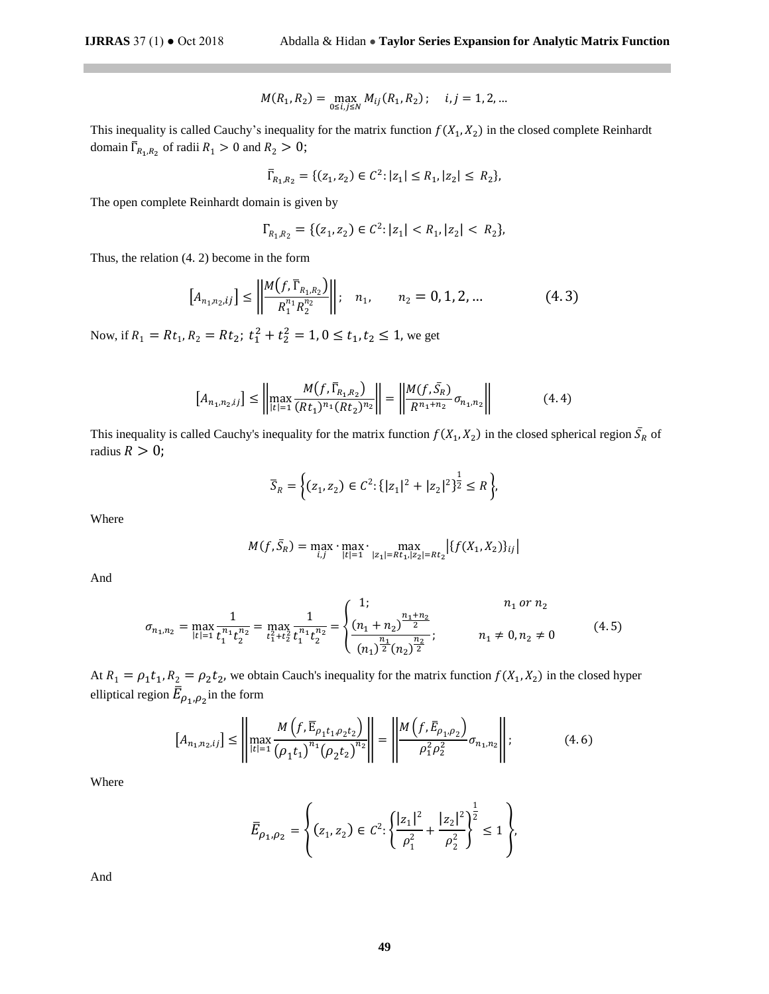$$
M(R_1, R_2) = \max_{0 \le i,j \le N} M_{ij}(R_1, R_2); \quad i,j = 1, 2, ...
$$

This inequality is called Cauchy's inequality for the matrix function  $f(X_1, X_2)$  in the closed complete Reinhardt domain  $\overline{\Gamma}_{R_1,R_2}$  of radii  $R_1 > 0$  and  $R_2 > 0$ ;

$$
\overline{\Gamma}_{R_1,R_2} = \{ (z_1, z_2) \in C^2 : |z_1| \le R_1, |z_2| \le R_2 \},\
$$

The open complete Reinhardt domain is given by

$$
\Gamma_{R_1,R_2} = \{ (z_1, z_2) \in C^2 : |z_1| < R_1, |z_2| < R_2 \},
$$

Thus, the relation (4. 2) become in the form

$$
[A_{n_1,n_2,ij}] \le \left\| \frac{M(f,\overline{\Gamma}_{R_1,R_2})}{R_1^{n_1} R_2^{n_2}} \right\|; \quad n_1, \qquad n_2 = 0, 1, 2, ... \tag{4.3}
$$

Now, if  $R_1 = Rt_1$ ,  $R_2 = Rt_2$ ;  $t_1^2 + t_2^2 = 1$ ,  $0 \le t_1$ ,  $t_2 \le 1$ , we get

$$
[A_{n_1,n_2,ij}] \le \left\| \max_{|t|=1} \frac{M(f,\overline{\Gamma}_{R_1,R_2})}{(Rt_1)^{n_1}(Rt_2)^{n_2}} \right\| = \left\| \frac{M(f,\overline{S}_R)}{R^{n_1+n_2}} \sigma_{n_1,n_2} \right\| \tag{4.4}
$$

This inequality is called Cauchy's inequality for the matrix function  $f(X_1, X_2)$  in the closed spherical region  $\bar{S}_R$  of radius  $R > 0$ ;

$$
\overline{S}_R = \left\{ (z_1, z_2) \in \mathcal{C}^2 \colon \{ |z_1|^2 + |z_2|^2 \}^{\frac{1}{2}} \le R \right\},\
$$

Where

$$
M(f, \bar{S}_R) = \max_{i,j} \cdot \max_{|t|=1} \cdot \max_{|z_1|=Rt_1, |z_2|=Rt_2} \left| \{ f(X_1, X_2) \}_{ij} \right|
$$

And

$$
\sigma_{n_1, n_2} = \max_{|t|=1} \frac{1}{t_1^{n_1} t_2^{n_2}} = \max_{t_1^2 + t_2^2} \frac{1}{t_1^{n_1} t_2^{n_2}} = \begin{cases} 1; & n_1 \text{ or } n_2 \\ \frac{(n_1 + n_2)^{\frac{n_1 + n_2}{2}}}{(n_1)^{\frac{n_1}{2}} (n_2)^{\frac{n_2}{2}}}; & n_1 \neq 0, n_2 \neq 0 \end{cases}
$$
(4.5)

At  $R_1 = \rho_1 t_1$ ,  $R_2 = \rho_2 t_2$ , we obtain Cauch's inequality for the matrix function  $f(X_1, X_2)$  in the closed hyper elliptical region  $\bar{E}_{\rho_1,\rho_2}$ in the form

$$
[A_{n_1,n_2,ij}] \le \left\| \max_{|t|=1} \frac{M\left(f,\overline{\mathbf{E}}_{\rho_1 t_1, \rho_2 t_2}\right)}{\left(\rho_1 t_1\right)^{n_1} \left(\rho_2 t_2\right)^{n_2}} \right\| = \left\| \frac{M\left(f,\overline{\mathbf{E}}_{\rho_1,\rho_2}\right)}{\rho_1^2 \rho_2^2} \sigma_{n_1,n_2} \right\|; \tag{4.6}
$$

Where

$$
\overline{E}_{\rho_1,\rho_2} = \left\{ (z_1, z_2) \in C^2 : \left\{ \frac{|z_1|^2}{\rho_1^2} + \frac{|z_2|^2}{\rho_2^2} \right\}^{\frac{1}{2}} \le 1 \right\},\
$$

And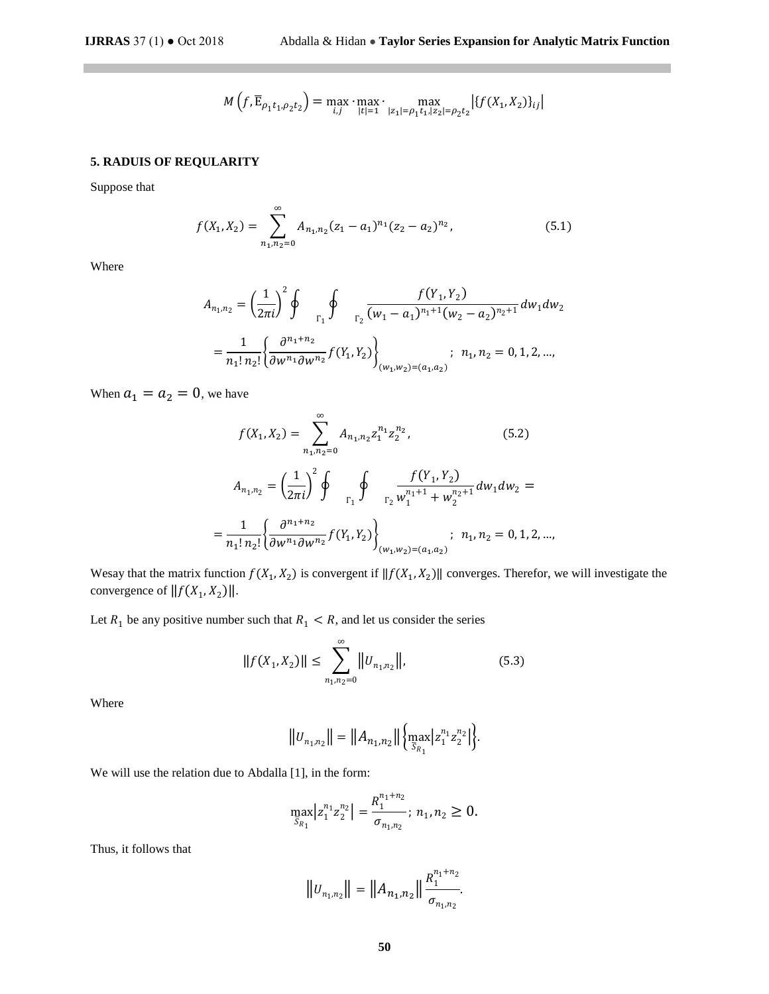$$
M(f, \overline{E}_{\rho_1 t_1, \rho_2 t_2}) = \max_{i,j} \cdot \max_{|t|=1} \cdot \max_{|z_1| = \rho_1 t_1, |z_2| = \rho_2 t_2} |f(X_1, X_2)\}_{ij}|
$$

# **5. RADUIS OF REQULARITY**

Suppose that

 $\mathbb{R}^n$ 

$$
f(X_1, X_2) = \sum_{n_1, n_2=0}^{\infty} A_{n_1, n_2} (z_1 - a_1)^{n_1} (z_2 - a_2)^{n_2},
$$
\n(5.1)

Where

$$
A_{n_1,n_2} = \left(\frac{1}{2\pi i}\right)^2 \oint_{\Gamma_1} \oint_{\Gamma_2} \frac{f(Y_1, Y_2)}{(w_1 - a_1)^{n_1+1}(w_2 - a_2)^{n_2+1}} dw_1 dw_2
$$
  
=  $\frac{1}{n_1! n_2!} \left\{\frac{\partial^{n_1+n_2}}{\partial w^{n_1} \partial w^{n_2}} f(Y_1, Y_2) \right\}_{(w_1, w_2) = (a_1, a_2)}$ ;  $n_1, n_2 = 0, 1, 2, ...$ 

When  $a_1 = a_2 = 0$ , we have

$$
f(X_1, X_2) = \sum_{n_1, n_2=0}^{\infty} A_{n_1, n_2} z_1^{n_1} z_2^{n_2},
$$
(5.2)  

$$
A_{n_1, n_2} = \left(\frac{1}{2\pi i}\right)^2 \oint_{\Gamma_1} \oint_{\Gamma_2} \frac{f(Y_1, Y_2)}{w_1^{n_1+1} + w_2^{n_2+1}} dw_1 dw_2 =
$$

$$
= \frac{1}{n_1! n_2!} \left\{ \frac{\partial^{n_1+n_2}}{\partial w^{n_1} \partial w^{n_2}} f(Y_1, Y_2) \right\}_{(w_1, w_2) = (a_1, a_2)}, \quad n_1, n_2 = 0, 1, 2, \dots,
$$

Wesay that the matrix function  $f(X_1, X_2)$  is convergent if  $||f(X_1, X_2)||$  converges. Therefor, we will investigate the convergence of  $||f(X_1, X_2)||$ .

Let  $R_1$  be any positive number such that  $R_1 < R$ , and let us consider the series

$$
||f(X_1, X_2)|| \le \sum_{n_1, n_2=0}^{\infty} ||U_{n_1, n_2}||,
$$
\n(5.3)

Where

$$
||U_{n_1,n_2}|| = ||A_{n_1,n_2}|| \left\{ \max_{\overline{S}_{R_1}} |z_1^{n_1} z_2^{n_2}| \right\}.
$$

We will use the relation due to Abdalla [1], in the form:

$$
\max_{\overline{S}_{R_1}} |z_1^{n_1} z_2^{n_2}| = \frac{R_1^{n_1+n_2}}{\sigma_{n_1,n_2}}; n_1, n_2 \ge 0.
$$

Thus, it follows that

$$
||U_{n_1,n_2}|| = ||A_{n_1,n_2}|| \frac{R_1^{n_1+n_2}}{\sigma_{n_1,n_2}}.
$$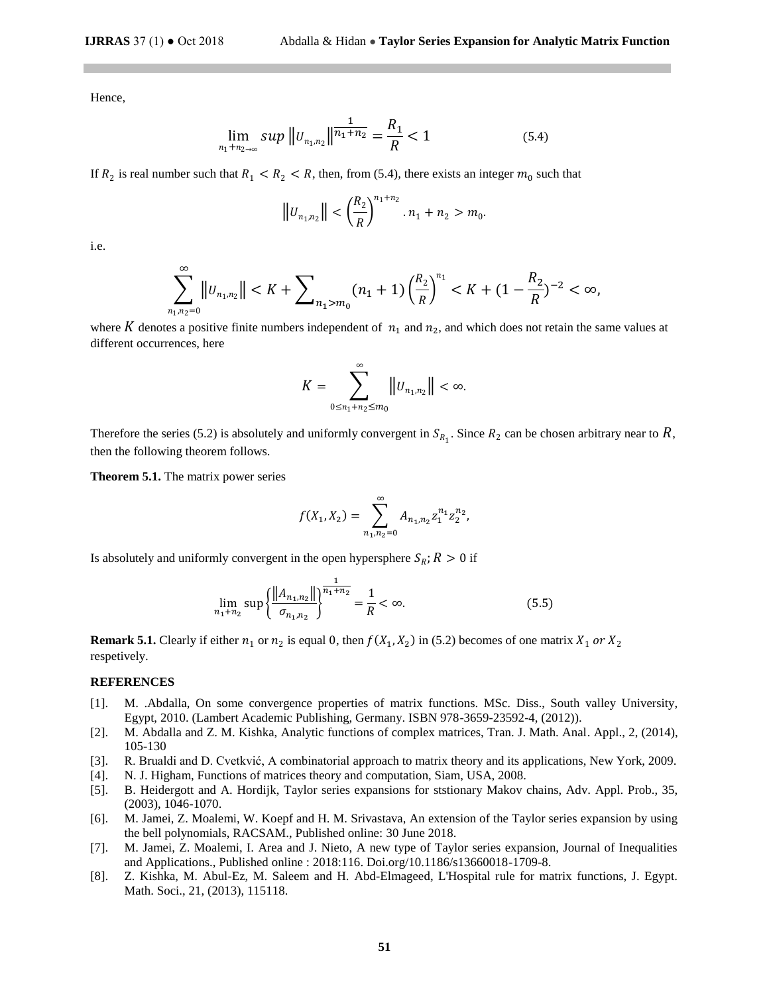Hence,

$$
\lim_{n_1 + n_2 \to \infty} \sup \|u_{n_1, n_2}\| \frac{1}{n_1 + n_2} = \frac{R_1}{R} < 1 \tag{5.4}
$$

If  $R_2$  is real number such that  $R_1 < R_2 < R$ , then, from (5.4), there exists an integer  $m_0$  such that

$$
||u_{n_1,n_2}|| < \left(\frac{R_2}{R}\right)^{n_1+n_2} \cdot n_1 + n_2 > m_0.
$$

i.e.

$$
\sum_{n_1,n_2=0}^{\infty} \|v_{n_1,n_2}\| < K + \sum_{n_1>m_0} (n_1+1) \left(\frac{R_2}{R}\right)^{n_1} < K + (1 - \frac{R_2}{R})^{-2} < \infty,
$$

where K denotes a positive finite numbers independent of  $n_1$  and  $n_2$ , and which does not retain the same values at different occurrences, here

$$
K=\sum_{0\leq n_1+n_2\leq m_0}^{\infty}\left|\left|U_{n_1,n_2}\right|\right|<\infty.
$$

Therefore the series (5.2) is absolutely and uniformly convergent in  $S_{R_1}$ . Since  $R_2$  can be chosen arbitrary near to  $R$ , then the following theorem follows.

**Theorem 5.1.** The matrix power series

$$
f(X_1, X_2) = \sum_{n_1, n_2=0}^{\infty} A_{n_1, n_2} z_1^{n_1} z_2^{n_2},
$$

Is absolutely and uniformly convergent in the open hypersphere  $S_R$ ;  $R > 0$  if

$$
\lim_{n_1+n_2} \sup \left\{ \frac{\left\| A_{n_1,n_2} \right\|}{\sigma_{n_1,n_2}} \right\}^{\frac{1}{n_1+n_2}} = \frac{1}{R} < \infty. \tag{5.5}
$$

**Remark 5.1.** Clearly if either  $n_1$  or  $n_2$  is equal 0, then  $f(X_1, X_2)$  in (5.2) becomes of one matrix  $X_1$  or  $X_2$ respetively.

# **REFERENCES**

- [1]. M. .Abdalla, On some convergence properties of matrix functions. MSc. Diss., South valley University, Egypt, 2010. (Lambert Academic Publishing, Germany. ISBN 978-3659-23592-4, (2012)).
- [2]. M. Abdalla and Z. M. Kishka, Analytic functions of complex matrices, Tran. J. Math. Anal. Appl., 2, (2014), 105-130
- [3]. R. Brualdi and D. Cvetkvić, A combinatorial approach to matrix theory and its applications, New York, 2009.
- [4]. N. J. Higham, Functions of matrices theory and computation, Siam, USA, 2008.
- [5]. B. Heidergott and A. Hordijk, Taylor series expansions for ststionary Makov chains, Adv. Appl. Prob., 35, (2003), 1046-1070.
- [6]. M. Jamei, Z. Moalemi, W. Koepf and H. M. Srivastava, An extension of the Taylor series expansion by using the bell polynomials, RACSAM., Published online: 30 June 2018.
- [7]. M. Jamei, Z. Moalemi, I. Area and J. Nieto, A new type of Taylor series expansion, Journal of Inequalities and Applications., Published online : 2018:116. Doi.org/10.1186/s13660018-1709-8.
- [8]. Z. Kishka, M. Abul-Ez, M. Saleem and H. Abd-Elmageed, L'Hospital rule for matrix functions, J. Egypt. Math. Soci., 21, (2013), 115118.